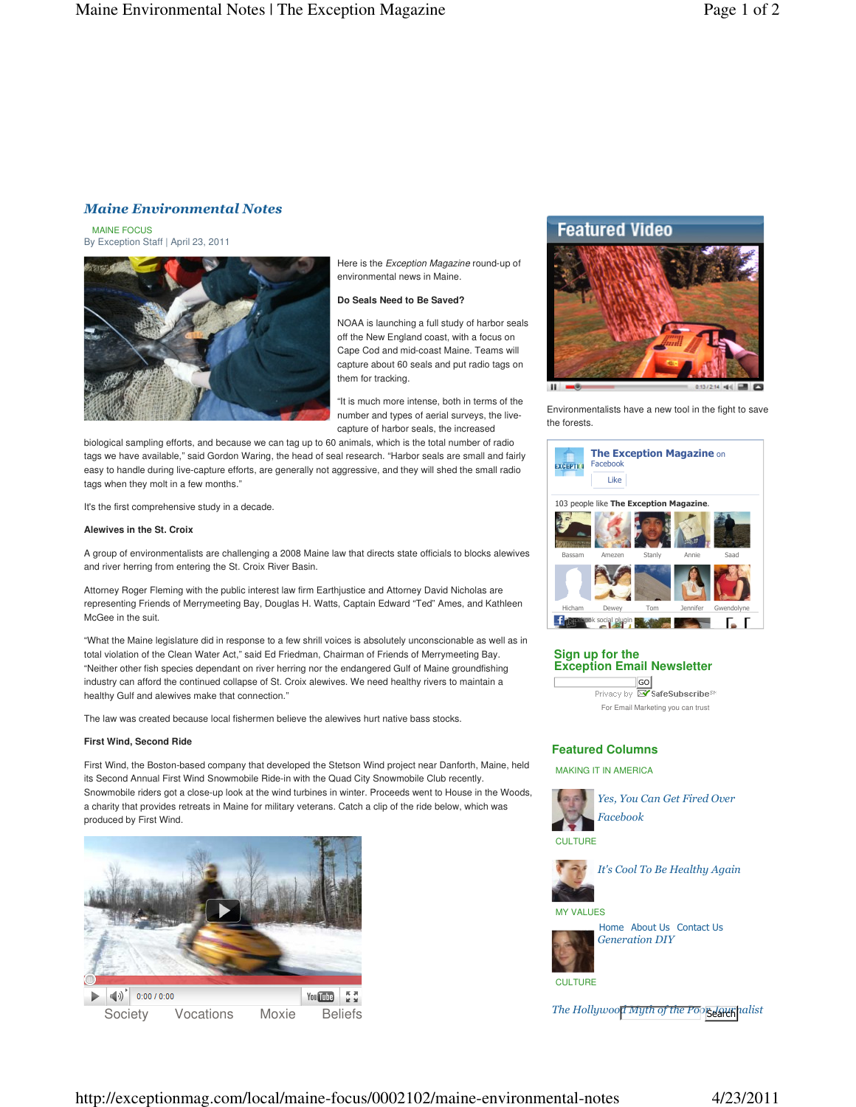# Maine Environmental Notes

MAINE FOCUS By Exception Staff | April 23, 2011



Here is the Exception Magazine round-up of environmental news in Maine.

#### **Do Seals Need to Be Saved?**

NOAA is launching a full study of harbor seals off the New England coast, with a focus on Cape Cod and mid-coast Maine. Teams will capture about 60 seals and put radio tags on them for tracking.

"It is much more intense, both in terms of the number and types of aerial surveys, the livecapture of harbor seals, the increased

biological sampling efforts, and because we can tag up to 60 animals, which is the total number of radio tags we have available," said Gordon Waring, the head of seal research. "Harbor seals are small and fairly easy to handle during live-capture efforts, are generally not aggressive, and they will shed the small radio tags when they molt in a few months."

It's the first comprehensive study in a decade.

#### **Alewives in the St. Croix**

A group of environmentalists are challenging a 2008 Maine law that directs state officials to blocks alewives and river herring from entering the St. Croix River Basin.

Attorney Roger Fleming with the public interest law firm Earthjustice and Attorney David Nicholas are representing Friends of Merrymeeting Bay, Douglas H. Watts, Captain Edward "Ted" Ames, and Kathleen McGee in the suit.

"What the Maine legislature did in response to a few shrill voices is absolutely unconscionable as well as in total violation of the Clean Water Act," said Ed Friedman, Chairman of Friends of Merrymeeting Bay. "Neither other fish species dependant on river herring nor the endangered Gulf of Maine groundfishing industry can afford the continued collapse of St. Croix alewives. We need healthy rivers to maintain a healthy Gulf and alewives make that connection."

The law was created because local fishermen believe the alewives hurt native bass stocks.

#### **First Wind, Second Ride**

First Wind, the Boston-based company that developed the Stetson Wind project near Danforth, Maine, held its Second Annual First Wind Snowmobile Ride-in with the Quad City Snowmobile Club recently. Snowmobile riders got a close-up look at the wind turbines in winter. Proceeds went to House in the Woods, a charity that provides retreats in Maine for military veterans. Catch a clip of the ride below, which was produced by First Wind.



## **Featured Video**



Environmentalists have a new tool in the fight to save the forests.



### **Sign up for the Exception Email Newsletter**  $\sqrt{\frac{1}{10}}$

Privacy by **X SafeSubscribe**<sup>SM</sup> For Email Marketing you can trust

### **Featured Columns**

MAKING IT IN AMERICA



Yes, You Can Get Fired Over Facebook

CULTURE



It's Cool To Be Healthy Again

MY VALUES



Generation DIY Home About Us Contact Us

**CULTURE**